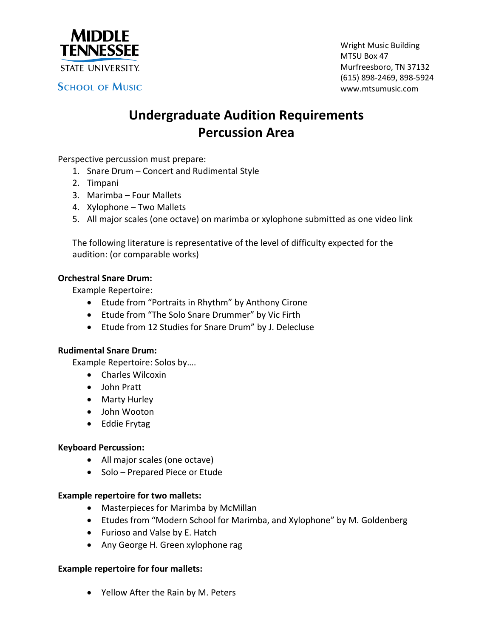

**SCHOOL OF MUSIC** 

Wright Music Building MTSU Box 47 Murfreesboro, TN 37132 (615) 898‐2469, 898‐5924 www.mtsumusic.com

# **Undergraduate Audition Requirements Percussion Area**

Perspective percussion must prepare:

- 1. Snare Drum Concert and Rudimental Style
- 2. Timpani
- 3. Marimba Four Mallets
- 4. Xylophone Two Mallets
- 5. All major scales (one octave) on marimba or xylophone submitted as one video link

The following literature is representative of the level of difficulty expected for the audition: (or comparable works)

## **Orchestral Snare Drum:**

Example Repertoire:

- Etude from "Portraits in Rhythm" by Anthony Cirone
- Etude from "The Solo Snare Drummer" by Vic Firth
- Etude from 12 Studies for Snare Drum" by J. Delecluse

## **Rudimental Snare Drum:**

Example Repertoire: Solos by….

- Charles Wilcoxin
- John Pratt
- Marty Hurley
- John Wooton
- Eddie Frytag

## **Keyboard Percussion:**

- All major scales (one octave)
- Solo Prepared Piece or Etude

#### **Example repertoire for two mallets:**

- Masterpieces for Marimba by McMillan
- Etudes from "Modern School for Marimba, and Xylophone" by M. Goldenberg
- Furioso and Valse by E. Hatch
- Any George H. Green xylophone rag

#### **Example repertoire for four mallets:**

Yellow After the Rain by M. Peters